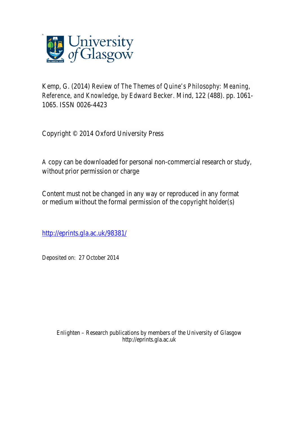

Kemp, G. (2014) *Review of The Themes of Quine's Philosophy: Meaning, Reference, and Knowledge, by Edward Becker.* Mind, 122 (488). pp. 1061- 1065. ISSN 0026-4423

Copyright © 2014 Oxford University Press

A copy can be downloaded for personal non-commercial research or study, without prior permission or charge

Content must not be changed in any way or reproduced in any format or medium without the formal permission of the copyright holder(s)

http://eprints.gla.ac.uk/98381/

Deposited on: 27 October 2014

Enlighten – Research publications by members of the University of Glasgow http://eprints.gla.ac.uk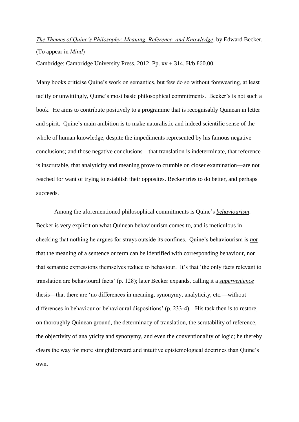## *The Themes of Quine's Philosophy: Meaning, Reference, and Knowledge*, by Edward Becker. (To appear in *Mind*)

Cambridge: Cambridge University Press, 2012. Pp.  $xy + 314$ . H/b £60.00.

Many books criticise Quine's work on semantics, but few do so without forswearing, at least tacitly or unwittingly, Quine's most basic philosophical commitments. Becker's is not such a book. He aims to contribute positively to a programme that is recognisably Quinean in letter and spirit. Quine's main ambition is to make naturalistic and indeed scientific sense of the whole of human knowledge, despite the impediments represented by his famous negative conclusions; and those negative conclusions—that translation is indeterminate, that reference is inscrutable, that analyticity and meaning prove to crumble on closer examination—are not reached for want of trying to establish their opposites. Becker tries to do better, and perhaps succeeds.

Among the aforementioned philosophical commitments is Quine's *behaviourism*. Becker is very explicit on what Quinean behaviourism comes to, and is meticulous in checking that nothing he argues for strays outside its confines. Quine's behaviourism is *not* that the meaning of a sentence or term can be identified with corresponding behaviour, nor that semantic expressions themselves reduce to behaviour. It's that 'the only facts relevant to translation are behavioural facts' (p. 128); later Becker expands, calling it a *supervenience* thesis—that there are 'no differences in meaning, synonymy, analyticity, etc.—without differences in behaviour or behavioural dispositions' (p. 233-4). His task then is to restore, on thoroughly Quinean ground, the determinacy of translation, the scrutability of reference, the objectivity of analyticity and synonymy, and even the conventionality of logic; he thereby clears the way for more straightforward and intuitive epistemological doctrines than Quine's own.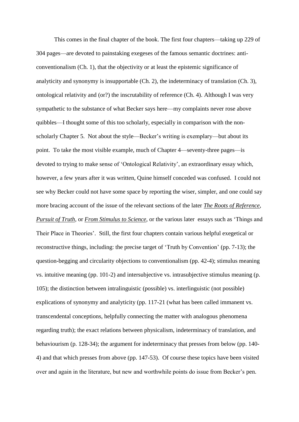This comes in the final chapter of the book. The first four chapters—taking up 229 of 304 pages—are devoted to painstaking exegeses of the famous semantic doctrines: anticonventionalism (Ch. 1), that the objectivity or at least the epistemic significance of analyticity and synonymy is insupportable (Ch. 2), the indeterminacy of translation (Ch. 3), ontological relativity and (or?) the inscrutability of reference (Ch. 4). Although I was very sympathetic to the substance of what Becker says here—my complaints never rose above quibbles—I thought some of this too scholarly, especially in comparison with the nonscholarly Chapter 5. Not about the style—Becker's writing is exemplary—but about its point. To take the most visible example, much of Chapter 4—seventy-three pages—is devoted to trying to make sense of 'Ontological Relativity', an extraordinary essay which, however, a few years after it was written, Quine himself conceded was confused. I could not see why Becker could not have some space by reporting the wiser, simpler, and one could say more bracing account of the issue of the relevant sections of the later *The Roots of Reference*, *Pursuit of Truth,* or *From Stimulus to Science*, or the various later essays such as 'Things and Their Place in Theories'. Still, the first four chapters contain various helpful exegetical or reconstructive things, including: the precise target of 'Truth by Convention' (pp. 7-13); the question-begging and circularity objections to conventionalism (pp. 42-4); stimulus meaning vs. intuitive meaning (pp. 101-2) and intersubjective vs. intrasubjective stimulus meaning (p. 105); the distinction between intralinguistic (possible) vs. interlinguistic (not possible) explications of synonymy and analyticity (pp. 117-21 (what has been called immanent vs. transcendental conceptions, helpfully connecting the matter with analogous phenomena regarding truth); the exact relations between physicalism, indeterminacy of translation, and behaviourism (p. 128-34); the argument for indeterminacy that presses from below (pp. 140- 4) and that which presses from above (pp. 147-53). Of course these topics have been visited over and again in the literature, but new and worthwhile points do issue from Becker's pen.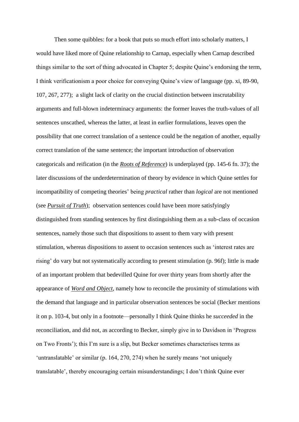Then some quibbles: for a book that puts so much effort into scholarly matters, I would have liked more of Quine relationship to Carnap, especially when Carnap described things similar to the sort of thing advocated in Chapter 5; despite Quine's endorsing the term, I think verificationism a poor choice for conveying Quine's view of language (pp. xi, 89-90, 107, 267, 277); a slight lack of clarity on the crucial distinction between inscrutability arguments and full-blown indeterminacy arguments: the former leaves the truth-values of all sentences unscathed, whereas the latter, at least in earlier formulations, leaves open the possibility that one correct translation of a sentence could be the negation of another, equally correct translation of the same sentence; the important introduction of observation categoricals and reification (in the *Roots of Reference*) is underplayed (pp. 145-6 fn. 37); the later discussions of the underdetermination of theory by evidence in which Quine settles for incompatibility of competing theories' being *practical* rather than *logical* are not mentioned (see *Pursuit of Truth*); observation sentences could have been more satisfyingly distinguished from standing sentences by first distinguishing them as a sub-class of occasion sentences, namely those such that dispositions to assent to them vary with present stimulation, whereas dispositions to assent to occasion sentences such as 'interest rates are rising' do vary but not systematically according to present stimulation (p. 96f); little is made of an important problem that bedevilled Quine for over thirty years from shortly after the appearance of *Word and Object*, namely how to reconcile the proximity of stimulations with the demand that language and in particular observation sentences be social (Becker mentions it on p. 103-4, but only in a footnote—personally I think Quine thinks he *succeeded* in the reconciliation, and did not, as according to Becker, simply give in to Davidson in 'Progress on Two Fronts'); this I'm sure is a slip, but Becker sometimes characterises terms as 'untranslatable' or similar (p. 164, 270, 274) when he surely means 'not uniquely translatable', thereby encouraging certain misunderstandings; I don't think Quine ever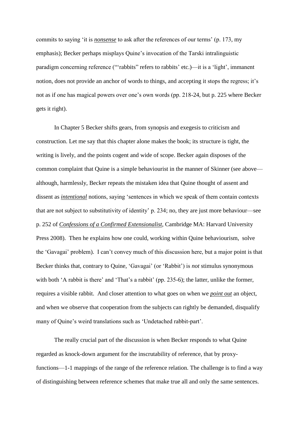commits to saying 'it is *nonsense* to ask after the references of our terms' (p. 173, my emphasis); Becker perhaps misplays Quine's invocation of the Tarski intralinguistic paradigm concerning reference ("'rabbits" refers to rabbits' etc.)—it is a 'light', immanent notion, does not provide an anchor of words to things, and accepting it stops the regress; it's not as if one has magical powers over one's own words (pp. 218-24, but p. 225 where Becker gets it right).

In Chapter 5 Becker shifts gears, from synopsis and exegesis to criticism and construction. Let me say that this chapter alone makes the book; its structure is tight, the writing is lively, and the points cogent and wide of scope. Becker again disposes of the common complaint that Quine is a simple behaviourist in the manner of Skinner (see above although, harmlessly, Becker repeats the mistaken idea that Quine thought of assent and dissent as *intentional* notions, saying 'sentences in which we speak of them contain contexts that are not subject to substitutivity of identity' p. 234; no, they are just more behaviour—see p. 252 of *Confessions of a Confirmed Extensionalist*, Cambridge MA: Harvard University Press 2008). Then he explains how one could, working within Quine behaviourism, solve the 'Gavagai' problem). I can't convey much of this discussion here, but a major point is that Becker thinks that, contrary to Quine, 'Gavagai' (or 'Rabbit') is *not* stimulus synonymous with both 'A rabbit is there' and 'That's a rabbit' (pp. 235-6); the latter, unlike the former, requires a visible rabbit. And closer attention to what goes on when we *point out* an object, and when we observe that cooperation from the subjects can rightly be demanded, disqualify many of Quine's weird translations such as 'Undetached rabbit-part'.

The really crucial part of the discussion is when Becker responds to what Quine regarded as knock-down argument for the inscrutability of reference, that by proxyfunctions—1-1 mappings of the range of the reference relation. The challenge is to find a way of distinguishing between reference schemes that make true all and only the same sentences.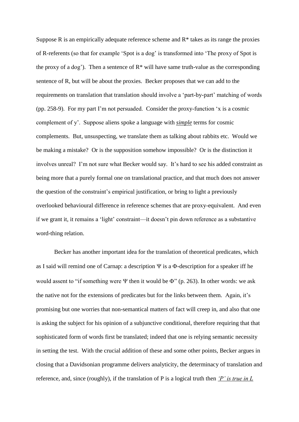Suppose R is an empirically adequate reference scheme and  $R^*$  takes as its range the proxies of R-referents (so that for example 'Spot is a dog' is transformed into 'The proxy of Spot is the proxy of a dog'). Then a sentence of  $R^*$  will have same truth-value as the corresponding sentence of R, but will be about the proxies. Becker proposes that we can add to the requirements on translation that translation should involve a 'part-by-part' matching of words (pp. 258-9). For my part I'm not persuaded. Consider the proxy-function 'x is a cosmic complement of y'. Suppose aliens spoke a language with *simple* terms for cosmic complements. But, unsuspecting, we translate them as talking about rabbits etc. Would we be making a mistake? Or is the supposition somehow impossible? Or is the distinction it involves unreal? I'm not sure what Becker would say. It's hard to see his added constraint as being more that a purely formal one on translational practice, and that much does not answer the question of the constraint's empirical justification, or bring to light a previously overlooked behavioural difference in reference schemes that are proxy-equivalent. And even if we grant it, it remains a 'light' constraint—it doesn't pin down reference as a substantive word-thing relation.

Becker has another important idea for the translation of theoretical predicates, which as I said will remind one of Carnap: a description  $\Psi$  is a  $\Phi$ -description for a speaker iff he would assent to "if something were  $\Psi$  then it would be  $\Phi$ " (p. 263). In other words: we ask the native not for the extensions of predicates but for the links between them. Again, it's promising but one worries that non-semantical matters of fact will creep in, and also that one is asking the subject for his opinion of a subjunctive conditional, therefore requiring that that sophisticated form of words first be translated; indeed that one is relying semantic necessity in setting the test. With the crucial addition of these and some other points, Becker argues in closing that a Davidsonian programme delivers analyticity, the determinacy of translation and reference, and, since (roughly), if the translation of P is a logical truth then *'P' is true in L*